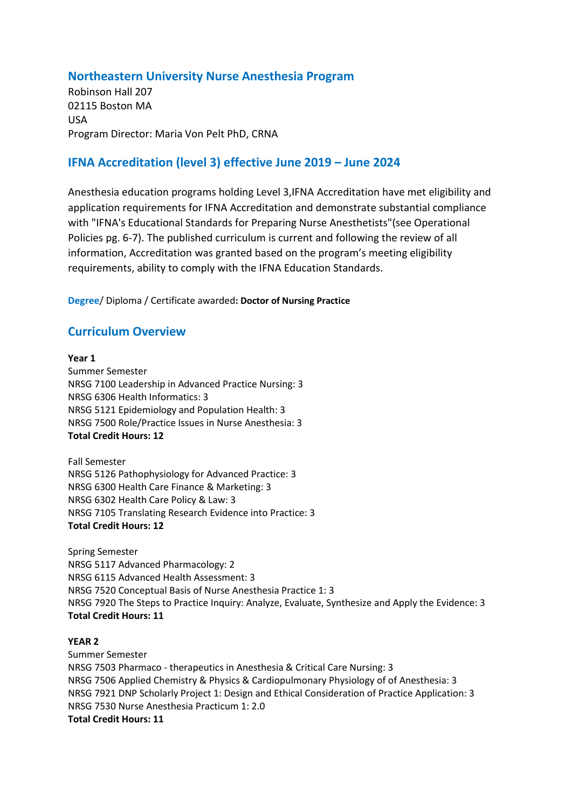## **Northeastern University Nurse Anesthesia Program**

Robinson Hall 207 02115 Boston MA USA Program Director: Maria Von Pelt PhD, CRNA

# **IFNA Accreditation (level 3) effective June 2019 – June 2024**

Anesthesia education programs holding Level 3,IFNA Accreditation have met eligibility and application requirements for IFNA Accreditation and demonstrate substantial compliance with "IFNA's Educational Standards for Preparing Nurse Anesthetists"(see Operational Policies pg. 6-7). The published curriculum is current and following the review of all information, Accreditation was granted based on the program's meeting eligibility requirements, ability to comply with the IFNA Education Standards.

**Degree**/ Diploma / Certificate awarded**: Doctor of Nursing Practice** 

## **Curriculum Overview**

#### **Year 1**

Summer Semester NRSG 7100 Leadership in Advanced Practice Nursing: 3 NRSG 6306 Health Informatics: 3 NRSG 5121 Epidemiology and Population Health: 3 NRSG 7500 Role/Practice Issues in Nurse Anesthesia: 3 **Total Credit Hours: 12**

Fall Semester NRSG 5126 Pathophysiology for Advanced Practice: 3 NRSG 6300 Health Care Finance & Marketing: 3 NRSG 6302 Health Care Policy & Law: 3 NRSG 7105 Translating Research Evidence into Practice: 3 **Total Credit Hours: 12**

Spring Semester NRSG 5117 Advanced Pharmacology: 2 NRSG 6115 Advanced Health Assessment: 3 NRSG 7520 Conceptual Basis of Nurse Anesthesia Practice 1: 3 NRSG 7920 The Steps to Practice Inquiry: Analyze, Evaluate, Synthesize and Apply the Evidence: 3 **Total Credit Hours: 11**

#### **YEAR 2**

Summer Semester NRSG 7503 Pharmaco - therapeutics in Anesthesia & Critical Care Nursing: 3 NRSG 7506 Applied Chemistry & Physics & Cardiopulmonary Physiology of of Anesthesia: 3 NRSG 7921 DNP Scholarly Project 1: Design and Ethical Consideration of Practice Application: 3 NRSG 7530 Nurse Anesthesia Practicum 1: 2.0 **Total Credit Hours: 11**